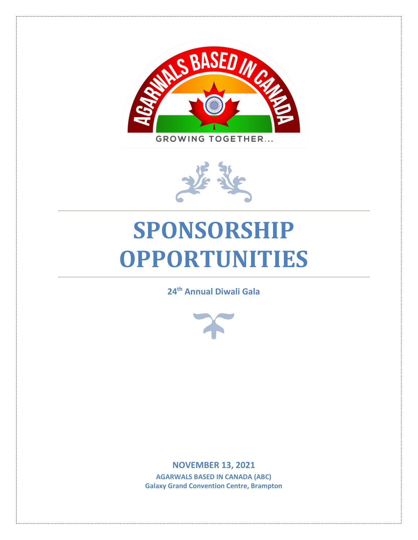



# **SPONSORSHIP OPPORTUNITIES**

**24 th Annual Diwali Gala**



**NOVEMBER 13, 2021 AGARWALS BASED IN CANADA (ABC) Galaxy Grand Convention Centre, Brampton**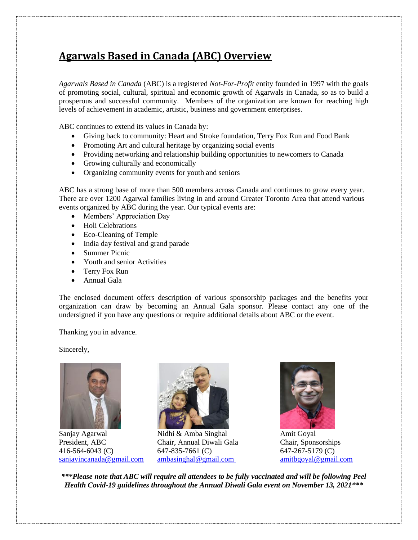## **Agarwals Based in Canada (ABC) Overview**

*Agarwals Based in Canada* (ABC) is a registered *Not-For-Profit* entity founded in 1997 with the goals of promoting social, cultural, spiritual and economic growth of Agarwals in Canada, so as to build a prosperous and successful community. Members of the organization are known for reaching high levels of achievement in academic, artistic, business and government enterprises.

ABC continues to extend its values in Canada by:

- Giving back to community: Heart and Stroke foundation, Terry Fox Run and Food Bank
- Promoting Art and cultural heritage by organizing social events
- Providing networking and relationship building opportunities to newcomers to Canada
- Growing culturally and economically
- Organizing community events for youth and seniors

ABC has a strong base of more than 500 members across Canada and continues to grow every year. There are over 1200 Agarwal families living in and around Greater Toronto Area that attend various events organized by ABC during the year. Our typical events are:

- Members' Appreciation Day
- Holi Celebrations
- Eco-Cleaning of Temple
- India day festival and grand parade
- Summer Picnic
- Youth and senior Activities
- Terry Fox Run
- Annual Gala

The enclosed document offers description of various sponsorship packages and the benefits your organization can draw by becoming an Annual Gala sponsor. Please contact any one of the undersigned if you have any questions or require additional details about ABC or the event.

Thanking you in advance.

Sincerely,





Sanjay Agarwal Nidhi & Amba Singhal Amit Goyal President, ABC Chair, Annual Diwali Gala Chair, Sponsorships 416-564-6043 (C) 647-835-7661 (C) 647-267-5179 (C) [sanjayincanada@gmail.com](mailto:rajagarwala9@gmail.com) [ambasinghal@gmail.com](mailto:ambasinghal@gmail.com) [amitbgoyal@gmail.com](mailto:amitbgoyal@gmail.com)



*\*\*\*Please note that ABC will require all attendees to be fully vaccinated and will be following Peel Health Covid-19 guidelines throughout the Annual Diwali Gala event on November 13, 2021\*\*\**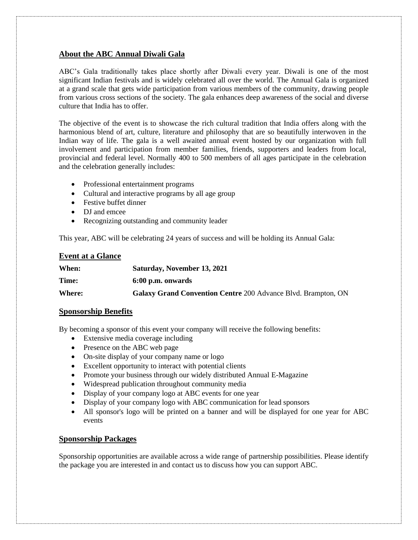#### **About the ABC Annual Diwali Gala**

ABC's Gala traditionally takes place shortly after Diwali every year. Diwali is one of the most significant Indian festivals and is widely celebrated all over the world. The Annual Gala is organized at a grand scale that gets wide participation from various members of the community, drawing people from various cross sections of the society. The gala enhances deep awareness of the social and diverse culture that India has to offer.

The objective of the event is to showcase the rich cultural tradition that India offers along with the harmonious blend of art, culture, literature and philosophy that are so beautifully interwoven in the Indian way of life. The gala is a well awaited annual event hosted by our organization with full involvement and participation from member families, friends, supporters and leaders from local, provincial and federal level. Normally 400 to 500 members of all ages participate in the celebration and the celebration generally includes:

- Professional entertainment programs
- Cultural and interactive programs by all age group
- Festive buffet dinner
- DJ and emcee
- Recognizing outstanding and community leader

This year, ABC will be celebrating 24 years of success and will be holding its Annual Gala:

#### **Event at a Glance**

| When:  | Saturday, November 13, 2021                                          |
|--------|----------------------------------------------------------------------|
| Time:  | 6:00 p.m. onwards                                                    |
| Where: | <b>Galaxy Grand Convention Centre 200 Advance Blvd. Brampton, ON</b> |

#### **Sponsorship Benefits**

By becoming a sponsor of this event your company will receive the following benefits:

- Extensive media coverage including
- Presence on the ABC web page
- On-site display of your company name or logo
- Excellent opportunity to interact with potential clients
- Promote your business through our widely distributed Annual E-Magazine
- Widespread publication throughout community media
- Display of your company logo at ABC events for one year
- Display of your company logo with ABC communication for lead sponsors
- All sponsor's logo will be printed on a banner and will be displayed for one year for ABC events

#### **Sponsorship Packages**

Sponsorship opportunities are available across a wide range of partnership possibilities. Please identify the package you are interested in and contact us to discuss how you can support ABC.